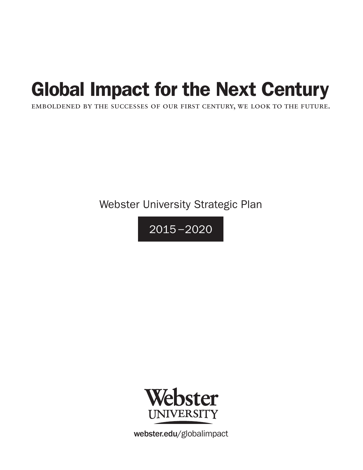## Global Impact for the Next Century

emboldened by the successes of our first century, we look to the future.

Webster University Strategic Plan

 $2015 - 2020$ 



webster.edu/globalimpact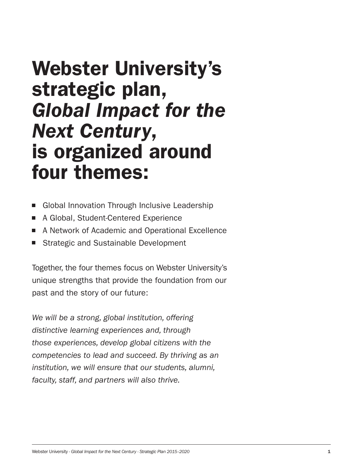## Webster University's strategic plan, *Global Impact for the Next Century*, is organized around four themes:

- Global Innovation Through Inclusive Leadership
- A Global, Student-Centered Experience
- A Network of Academic and Operational Excellence
- Strategic and Sustainable Development

Together, the four themes focus on Webster University's unique strengths that provide the foundation from our past and the story of our future:

*We will be a strong, global institution, offering distinctive learning experiences and, through those experiences, develop global citizens with the competencies to lead and succeed. By thriving as an institution, we will ensure that our students, alumni, faculty, staff, and partners will also thrive.*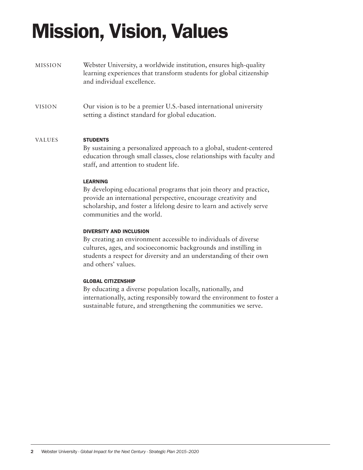# Mission, Vision, Values

- MISSION Webster University, a worldwide institution, ensures high-quality learning experiences that transform students for global citizenship and individual excellence.
- VISION Our vision is to be a premier U.S.-based international university setting a distinct standard for global education.

#### VALUES **STUDENTS**

By sustaining a personalized approach to a global, student-centered education through small classes, close relationships with faculty and staff, and attention to student life.

#### LEARNING

By developing educational programs that join theory and practice, provide an international perspective, encourage creativity and scholarship, and foster a lifelong desire to learn and actively serve communities and the world.

#### DIVERSITY AND INCLUSION

By creating an environment accessible to individuals of diverse cultures, ages, and socioeconomic backgrounds and instilling in students a respect for diversity and an understanding of their own and others' values.

#### GLOBAL CITIZENSHIP

By educating a diverse population locally, nationally, and internationally, acting responsibly toward the environment to foster a sustainable future, and strengthening the communities we serve.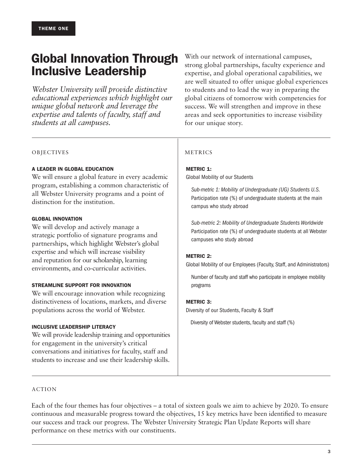## Global Innovation Through Inclusive Leadership

*Webster University will provide distinctive educational experiences which highlight our unique global network and leverage the expertise and talents of faculty, staff and students at all campuses.*

With our network of international campuses, strong global partnerships, faculty experience and expertise, and global operational capabilities, we are well situated to offer unique global experiences to students and to lead the way in preparing the global citizens of tomorrow with competencies for success. We will strengthen and improve in these areas and seek opportunities to increase visibility for our unique story.

#### OBJECTIVES

#### A LEADER IN GLOBAL EDUCATION

We will ensure a global feature in every academic program, establishing a common characteristic of all Webster University programs and a point of distinction for the institution.

#### GLOBAL INNOVATION

We will develop and actively manage a strategic portfolio of signature programs and partnerships, which highlight Webster's global expertise and which will increase visibility and reputation for our scholarship, learning environments, and co-curricular activities.

#### STREAMLINE SUPPORT FOR INNOVATION

We will encourage innovation while recognizing distinctiveness of locations, markets, and diverse populations across the world of Webster.

#### INCLUSIVE LEADERSHIP LITERACY

We will provide leadership training and opportunities for engagement in the university's critical conversations and initiatives for faculty, staff and students to increase and use their leadership skills.

#### METRICS

#### METRIC 1:

Global Mobility of our Students

*Sub-metric 1: Mobility of Undergraduate (UG) Students U.S.*  Participation rate (%) of undergraduate students at the main campus who study abroad

*Sub-metric 2: Mobility of Undergraduate Students Worldwide*  Participation rate (%) of undergraduate students at all Webster campuses who study abroad

#### METRIC 2:

Global Mobility of our Employees (Faculty, Staff, and Administrators)

Number of faculty and staff who participate in employee mobility programs

#### METRIC 3:

Diversity of our Students, Faculty & Staff

Diversity of Webster students, faculty and staff (%)

#### ACTION

Each of the four themes has four objectives – a total of sixteen goals we aim to achieve by 2020. To ensure continuous and measurable progress toward the objectives, 15 key metrics have been identified to measure our success and track our progress. The Webster University Strategic Plan Update Reports will share performance on these metrics with our constituents.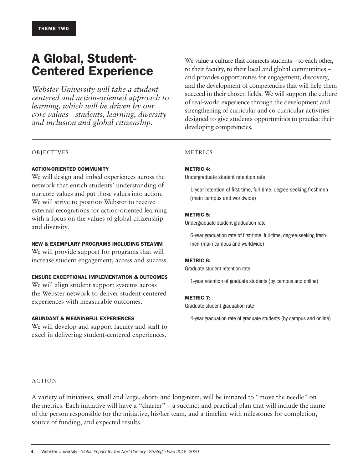## A Global, Student-Centered Experience

*Webster University will take a studentcentered and action-oriented approach to learning, which will be driven by our core values - students, learning, diversity and inclusion and global citizenship.*

We value a culture that connects students – to each other, to their faculty, to their local and global communities – and provides opportunities for engagement, discovery, and the development of competencies that will help them succeed in their chosen fields. We will support the culture of real-world experience through the development and strengthening of curricular and co-curricular activities designed to give students opportunities to practice their developing competencies.

#### OBJECTIVES

#### ACTION-ORIENTED COMMUNITY

We will design and imbed experiences across the network that enrich students' understanding of our core values and put those values into action. We will strive to position Webster to receive external recognitions for action-oriented learning with a focus on the values of global citizenship and diversity.

#### NEW & EXEMPLARY PROGRAMS INCLUDING STEAMM

We will provide support for programs that will increase student engagement, access and success.

#### ENSURE EXCEPTIONAL IMPLEMENTATION & OUTCOMES

We will align student support systems across the Webster network to deliver student-centered experiences with measurable outcomes.

#### ABUNDANT & MEANINGFUL EXPERIENCES

We will develop and support faculty and staff to excel in delivering student-centered experiences.

#### METRICS

#### METRIC 4:

Undergraduate student retention rate

1-year retention of first-time, full-time, degree-seeking freshmen (main campus and worldwide)

#### METRIC 5:

Undergraduate student graduation rate

6-year graduation rate of first-time, full-time, degree-seeking freshmen (main campus and worldwide)

#### METRIC 6:

Graduate student retention rate

1-year retention of graduate students (by campus and online)

#### METRIC 7:

Graduate student graduation rate

4-year graduation rate of graduate students (by campus and online)

#### ACTION

A variety of initiatives, small and large, short- and long-term, will be initiated to "move the needle" on the metrics. Each initiative will have a "charter" – a succinct and practical plan that will include the name of the person responsible for the initiative, his/her team, and a timeline with milestones for completion, source of funding, and expected results.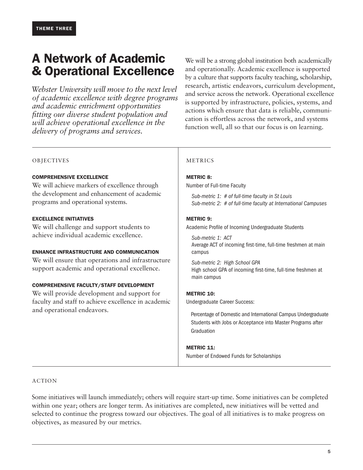### A Network of Academic & Operational Excellence

 *Webster University will move to the next level of academic excellence with degree programs and academic enrichment opportunities fitting our diverse student population and will achieve operational excellence in the delivery of programs and services.*

We will be a strong global institution both academically and operationally. Academic excellence is supported by a culture that supports faculty teaching, scholarship, research, artistic endeavors, curriculum development, and service across the network. Operational excellence is supported by infrastructure, policies, systems, and actions which ensure that data is reliable, communication is effortless across the network, and systems function well, all so that our focus is on learning.

#### OBJECTIVES METRICS

#### COMPREHENSIVE EXCELLENCE

We will achieve markers of excellence through the development and enhancement of academic programs and operational systems.

#### EXCELLENCE INITIATIVES

We will challenge and support students to achieve individual academic excellence.

#### ENHANCE INFRASTRUCTURE AND COMMUNICATION

We will ensure that operations and infrastructure support academic and operational excellence.

#### COMPREHENSIVE FACULTY/STAFF DEVELOPMENT

We will provide development and support for faculty and staff to achieve excellence in academic and operational endeavors.

#### METRIC 8:

Number of Full-time Faculty

*Sub-metric 1: # of full-time faculty in St Louis Sub-metric 2: # of full-time faculty at International Campuses* 

#### METRIC 9:

Academic Profile of Incoming Undergraduate Students

*Sub-metric 1: ACT* Average ACT of incoming first-time, full-time freshmen at main campus

*Sub-metric 2: High School GPA*  High school GPA of incoming first-time, full-time freshmen at main campus

#### **METRIC 10:**

Undergraduate Career Success:

Percentage of Domestic and International Campus Undergraduate Students with Jobs or Acceptance into Master Programs after Graduation

#### METRIC 11:

Number of Endowed Funds for Scholarships

#### ACTION

Some initiatives will launch immediately; others will require start-up time. Some initiatives can be completed within one year; others are longer term. As initiatives are completed, new initiatives will be vetted and selected to continue the progress toward our objectives. The goal of all initiatives is to make progress on objectives, as measured by our metrics.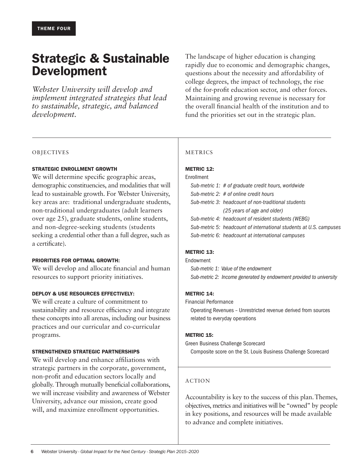### Strategic & Sustainable Development

*Webster University will develop and implement integrated strategies that lead to sustainable, strategic, and balanced development.* 

The landscape of higher education is changing rapidly due to economic and demographic changes, questions about the necessity and affordability of college degrees, the impact of technology, the rise of the for-profit education sector, and other forces. Maintaining and growing revenue is necessary for the overall financial health of the institution and to fund the priorities set out in the strategic plan.

#### OBJECTIVES

#### STRATEGIC ENROLLMENT GROWTH

We will determine specific geographic areas, demographic constituencies, and modalities that will lead to sustainable growth. For Webster University, key areas are: traditional undergraduate students, non-traditional undergraduates (adult learners over age 25), graduate students, online students, and non-degree-seeking students (students seeking a credential other than a full degree, such as a certificate).

#### PRIORITIES FOR OPTIMAL GROWTH:

We will develop and allocate financial and human resources to support priority initiatives.

#### DEPLOY & USE RESOURCES EFFECTIVELY:

We will create a culture of commitment to sustainability and resource efficiency and integrate these concepts into all arenas, including our business practices and our curricular and co-curricular programs.

#### STRENGTHENED STRATEGIC PARTNERSHIPS

We will develop and enhance affiliations with strategic partners in the corporate, government, non-profit and education sectors locally and globally. Through mutually beneficial collaborations, we will increase visibility and awareness of Webster University, advance our mission, create good will, and maximize enrollment opportunities.

#### METRICS

#### **METRIC 12:**

#### Enrollment

|  | Sub-metric 1: # of graduate credit hours, worldwide                |
|--|--------------------------------------------------------------------|
|  | Sub-metric 2: # of online credit hours                             |
|  | Sub-metric 3: headcount of non-traditional students                |
|  | (25 years of age and older)                                        |
|  | Sub-metric 4: headcount of resident students (WEBG)                |
|  | Sub-metric 5: headcount of international students at U.S. campuses |
|  | Sub-metric 6: headcount at international campuses                  |

#### **METRIC 13:**

Endowment *Sub-metric 1: Value of the endowment Sub-metric 2: Income generated by endowment provided to university*

#### METRIC 14:

Financial Performance

Operating Revenues – Unrestricted revenue derived from sources related to everyday operations

#### METRIC 15:

Green Business Challenge Scorecard

Composite score on the St. Louis Business Challenge Scorecard

#### ACTION

Accountability is key to the success of this plan. Themes, objectives, metrics and initiatives will be "owned" by people in key positions, and resources will be made available to advance and complete initiatives.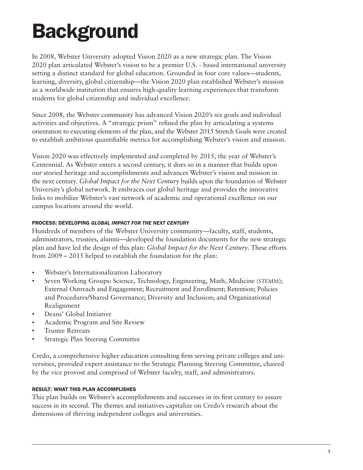## **Background**

In 2008, Webster University adopted Vision 2020 as a new strategic plan. The Vision 2020 plan articulated Webster's vision to be a premier U.S. - based international university setting a distinct standard for global education. Grounded in four core values—students, learning, diversity, global citizenship—the Vision 2020 plan established Webster's mission as a worldwide institution that ensures high-quality learning experiences that transform students for global citizenship and individual excellence.

Since 2008, the Webster community has advanced Vision 2020's six goals and individual activities and objectives. A "strategic prism" refined the plan by articulating a systems orientation to executing elements of the plan, and the Webster 2015 Stretch Goals were created to establish ambitious quantifiable metrics for accomplishing Webster's vision and mission.

Vision 2020 was effectively implemented and completed by 2015, the year of Webster's Centennial. As Webster enters a second century, it does so in a manner that builds upon our storied heritage and accomplishments and advances Webster's vision and mission in the next century. *Global Impact for the Next Century* builds upon the foundation of Webster University's global network. It embraces our global heritage and provides the innovative links to mobilize Webster's vast network of academic and operational excellence on our campus locations around the world.

#### PROCESS: DEVELOPING *GLOBAL IMPACT FOR THE NEXT CENTURY*

Hundreds of members of the Webster University community—faculty, staff, students, administrators, trustees, alumni—developed the foundation documents for the new strategic plan and have led the design of this plan: *Global Impact for the Next Century*. These efforts from 2009 – 2015 helped to establish the foundation for the plan:

- Webster's Internationalization Laboratory
- Seven Working Groups: Science, Technology, Engineering, Math, Medicine (STEMM); External Outreach and Engagement; Recruitment and Enrollment; Retention; Policies and Procedures/Shared Governance; Diversity and Inclusion; and Organizational Realignment
- Deans' Global Initiative
- Academic Program and Site Review
- Trustee Retreats
- **Strategic Plan Steering Committee**

Credo, a comprehensive higher education consulting firm serving private colleges and universities, provided expert assistance to the Strategic Planning Steering Committee, chaired by the vice provost and comprised of Webster faculty, staff, and administrators.

#### RESULT: WHAT THIS PLAN ACCOMPLISHES

This plan builds on Webster's accomplishments and successes in its first century to assure success in its second. The themes and initiatives capitalize on Credo's research about the dimensions of thriving independent colleges and universities.